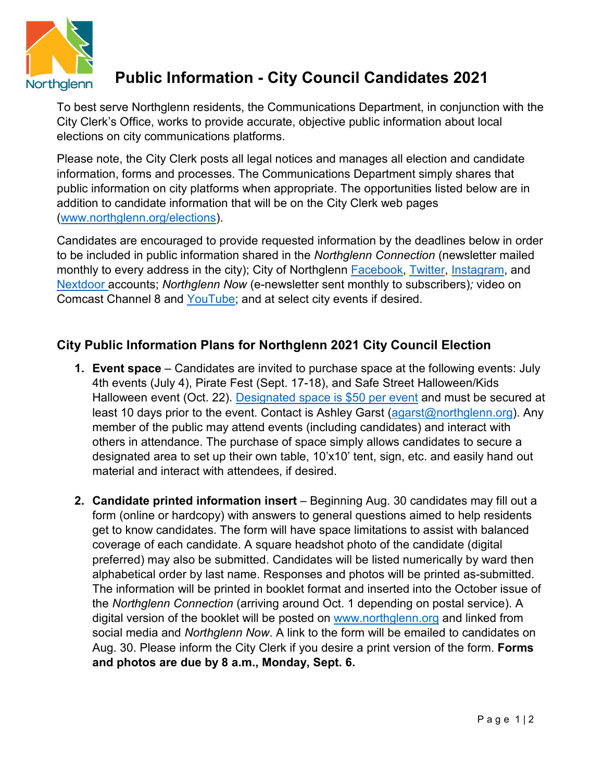

## **Public Information - City Council Candidates 2021**

To best serve Northglenn residents, the Communications Department, in conjunction with the City Clerk's Office, works to provide accurate, objective public information about local elections on city communications platforms.

Please note, the City Clerk posts all legal notices and manages all election and candidate information, forms and processes. The Communications Department simply shares that public information on city platforms when appropriate. The opportunities listed below are in addition to candidate information that will be on the City Clerk web pages [\(www.northglenn.org/elections\)](http://www.northglenn.org/elections).

Candidates are encouraged to provide requested information by the deadlines below in order to be included in public information shared in the *Northglenn Connection* (newsletter mailed monthly to every address in the city); City of Northglenn [Facebook,](https://www.facebook.com/cityofnorthglenn/) [Twitter,](https://twitter.com/NorthglennCo) [Instagram,](https://www.instagram.com/cityofnorthglenn/) and [Nextdoor](https://nextdoor.com/agency-detail/co/northglenn/city-of-northglenn/?is=feed_author) accounts; *Northglenn Now* (e-newsletter sent monthly to subscribers)*;* video on Comcast Channel 8 and [YouTube;](https://www.youtube.com/user/cityofnorthglenn/featured) and at select city events if desired.

## **City Public Information Plans for Northglenn 2021 City Council Election**

- **1. Event space** Candidates are invited to purchase space at the following events: July 4th events (July 4), Pirate Fest (Sept. 17-18), and Safe Street Halloween/Kids Halloween event (Oct. 22). [Designated space is \\$50 per event](https://northglenn.regfox.com/northglenn-candidate-event-engagement) and must be secured at least 10 days prior to the event. Contact is Ashley Garst [\(agarst@northglenn.org\)](mailto:agarst@northglenn.org). Any member of the public may attend events (including candidates) and interact with others in attendance. The purchase of space simply allows candidates to secure a designated area to set up their own table, 10'x10' tent, sign, etc. and easily hand out material and interact with attendees, if desired.
- **2. Candidate printed information insert** Beginning Aug. 30 candidates may fill out a form (online or hardcopy) with answers to general questions aimed to help residents get to know candidates. The form will have space limitations to assist with balanced coverage of each candidate. A square headshot photo of the candidate (digital preferred) may also be submitted. Candidates will be listed numerically by ward then alphabetical order by last name. Responses and photos will be printed as-submitted. The information will be printed in booklet format and inserted into the October issue of the *Northglenn Connection* (arriving around Oct. 1 depending on postal service). A digital version of the booklet will be posted on [www.northglenn.org](http://www.northglenn.org/) and linked from social media and *Northglenn Now*. A link to the form will be emailed to candidates on Aug. 30. Please inform the City Clerk if you desire a print version of the form. **Forms and photos are due by 8 a.m., Monday, Sept. 6.**